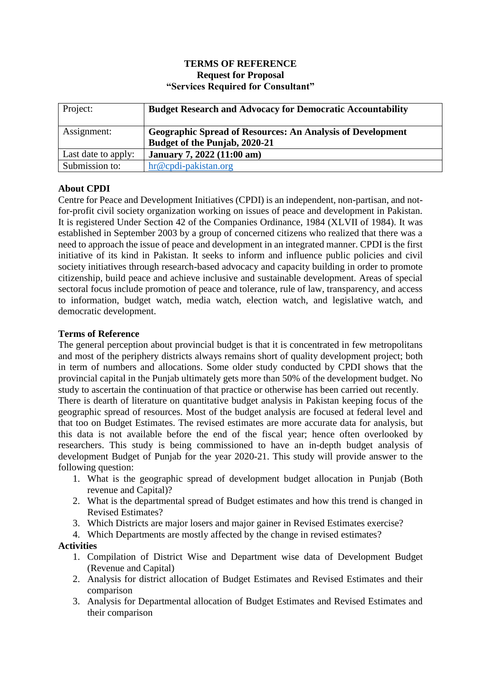## **TERMS OF REFERENCE Request for Proposal "Services Required for Consultant"**

| Project:            | <b>Budget Research and Advocacy for Democratic Accountability</b>                                  |
|---------------------|----------------------------------------------------------------------------------------------------|
| Assignment:         | <b>Geographic Spread of Resources: An Analysis of Development</b><br>Budget of the Punjab, 2020-21 |
| Last date to apply: | <b>January 7, 2022 (11:00 am)</b>                                                                  |
| Submission to:      | hr@cpdi-pakistan.org                                                                               |

# **About CPDI**

Centre for Peace and Development Initiatives (CPDI) is an independent, non-partisan, and notfor-profit civil society organization working on issues of peace and development in Pakistan. It is registered Under Section 42 of the Companies Ordinance, 1984 (XLVII of 1984). It was established in September 2003 by a group of concerned citizens who realized that there was a need to approach the issue of peace and development in an integrated manner. CPDI is the first initiative of its kind in Pakistan. It seeks to inform and influence public policies and civil society initiatives through research-based advocacy and capacity building in order to promote citizenship, build peace and achieve inclusive and sustainable development. Areas of special sectoral focus include promotion of peace and tolerance, rule of law, transparency, and access to information, budget watch, media watch, election watch, and legislative watch, and democratic development.

## **Terms of Reference**

The general perception about provincial budget is that it is concentrated in few metropolitans and most of the periphery districts always remains short of quality development project; both in term of numbers and allocations. Some older study conducted by CPDI shows that the provincial capital in the Punjab ultimately gets more than 50% of the development budget. No study to ascertain the continuation of that practice or otherwise has been carried out recently.

There is dearth of literature on quantitative budget analysis in Pakistan keeping focus of the geographic spread of resources. Most of the budget analysis are focused at federal level and that too on Budget Estimates. The revised estimates are more accurate data for analysis, but this data is not available before the end of the fiscal year; hence often overlooked by researchers. This study is being commissioned to have an in-depth budget analysis of development Budget of Punjab for the year 2020-21. This study will provide answer to the following question:

- 1. What is the geographic spread of development budget allocation in Punjab (Both revenue and Capital)?
- 2. What is the departmental spread of Budget estimates and how this trend is changed in Revised Estimates?
- 3. Which Districts are major losers and major gainer in Revised Estimates exercise?
- 4. Which Departments are mostly affected by the change in revised estimates?

## **Activities**

- 1. Compilation of District Wise and Department wise data of Development Budget (Revenue and Capital)
- 2. Analysis for district allocation of Budget Estimates and Revised Estimates and their comparison
- 3. Analysis for Departmental allocation of Budget Estimates and Revised Estimates and their comparison